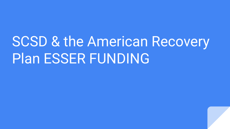# SCSD & the American Recovery Plan ESSER FUNDING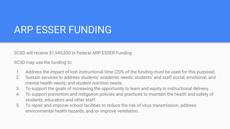# ARP ESSER FUNDING

SCSD will receive \$1,949,830 in Federal ARP ESSER Funding

SCSD may use the funding to:

- 1. Address the impact of lost instructional time (20% of the funding must be used for this purpose).
- 2. Sustain services to address students' academic needs; students' and staff social, emotional, and mental health needs; and student nutrition needs.
- 3. To support the goals of increasing the opportunity to learn and equity in instructional delivery.
- 4. To support prevention and mitigation policies and practices to maintain the health and safety of students, educators and other staff.
- 5. To repair and improve school facilities to reduce the risk of virus transmission, address environmental health hazards, and/or improve ventilation.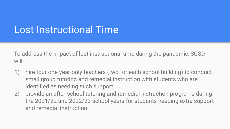# Lost Instructional Time

To address the impact of lost instructional time during the pandemic, SCSD will:

- 1) hire four one-year-only teachers (two for each school building) to conduct small group tutoring and remedial instruction with students who are identified as needing such support.
- 2) provide an after-school tutoring and remedial instruction programs during the 2021/22 and 2022/23 school years for students needing extra support and remedial instruction.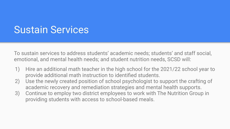#### Sustain Services

To sustain services to address students' academic needs; students' and staff social, emotional, and mental health needs; and student nutrition needs, SCSD will:

- 1) Hire an additional math teacher in the high school for the 2021/22 school year to provide additional math instruction to identified students.
- 2) Use the newly created position of school psychologist to support the crafting of academic recovery and remediation strategies and mental health supports.
- 3) Continue to employ two district employees to work with The Nutrition Group in providing students with access to school-based meals.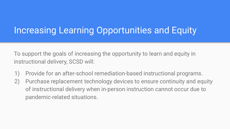#### Increasing Learning Opportunities and Equity

To support the goals of increasing the opportunity to learn and equity in instructional delivery, SCSD will:

- 1) Provide for an after-school remediation-based instructional programs.
- 2) Purchase replacement technology devices to ensure continuity and equity of instructional delivery when in-person instruction cannot occur due to pandemic-related situations.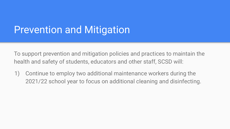# Prevention and Mitigation

To support prevention and mitigation policies and practices to maintain the health and safety of students, educators and other staff, SCSD will:

1) Continue to employ two additional maintenance workers during the 2021/22 school year to focus on additional cleaning and disinfecting.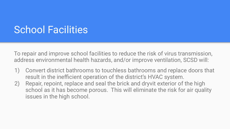### School Facilities

To repair and improve school facilities to reduce the risk of virus transmission, address environmental health hazards, and/or improve ventilation, SCSD will:

- 1) Convert district bathrooms to touchless bathrooms and replace doors that result in the inefficient operation of the district's HVAC system.
- 2) Repair, repoint, replace and seal the brick and dryvit exterior of the high school as it has become porous. This will eliminate the risk for air quality issues in the high school.